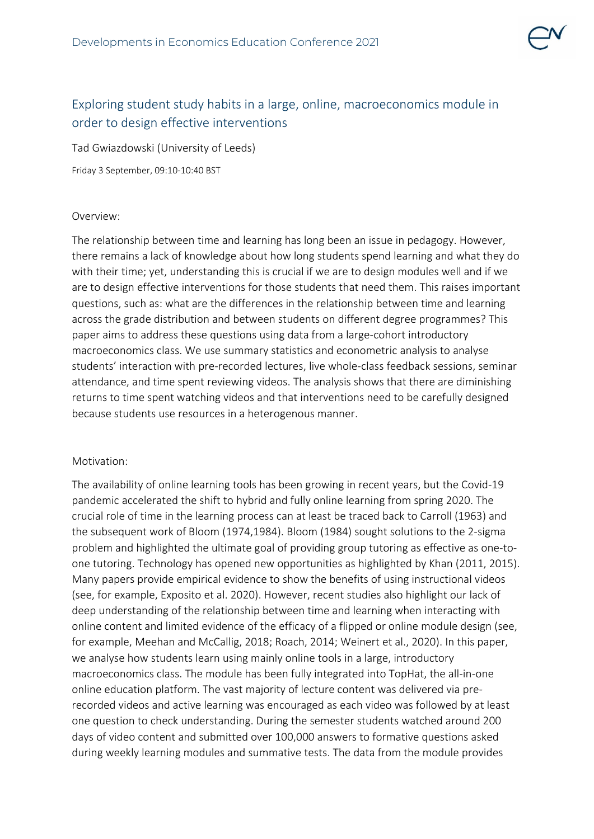

# Exploring student study habits in a large, online, macroeconomics module in order to design effective interventions

Tad Gwiazdowski (University of Leeds)

Friday 3 September, 09:10-10:40 BST

## Overview:

The relationship between time and learning has long been an issue in pedagogy. However, there remains a lack of knowledge about how long students spend learning and what they do with their time; yet, understanding this is crucial if we are to design modules well and if we are to design effective interventions for those students that need them. This raises important questions, such as: what are the differences in the relationship between time and learning across the grade distribution and between students on different degree programmes? This paper aims to address these questions using data from a large-cohort introductory macroeconomics class. We use summary statistics and econometric analysis to analyse students' interaction with pre-recorded lectures, live whole-class feedback sessions, seminar attendance, and time spent reviewing videos. The analysis shows that there are diminishing returns to time spent watching videos and that interventions need to be carefully designed because students use resources in a heterogenous manner.

# Motivation:

The availability of online learning tools has been growing in recent years, but the Covid-19 pandemic accelerated the shift to hybrid and fully online learning from spring 2020. The crucial role of time in the learning process can at least be traced back to Carroll (1963) and the subsequent work of Bloom (1974,1984). Bloom (1984) sought solutions to the 2-sigma problem and highlighted the ultimate goal of providing group tutoring as effective as one-toone tutoring. Technology has opened new opportunities as highlighted by Khan (2011, 2015). Many papers provide empirical evidence to show the benefits of using instructional videos (see, for example, Exposito et al. 2020). However, recent studies also highlight our lack of deep understanding of the relationship between time and learning when interacting with online content and limited evidence of the efficacy of a flipped or online module design (see, for example, Meehan and McCallig, 2018; Roach, 2014; Weinert et al., 2020). In this paper, we analyse how students learn using mainly online tools in a large, introductory macroeconomics class. The module has been fully integrated into TopHat, the all-in-one online education platform. The vast majority of lecture content was delivered via prerecorded videos and active learning was encouraged as each video was followed by at least one question to check understanding. During the semester students watched around 200 days of video content and submitted over 100,000 answers to formative questions asked during weekly learning modules and summative tests. The data from the module provides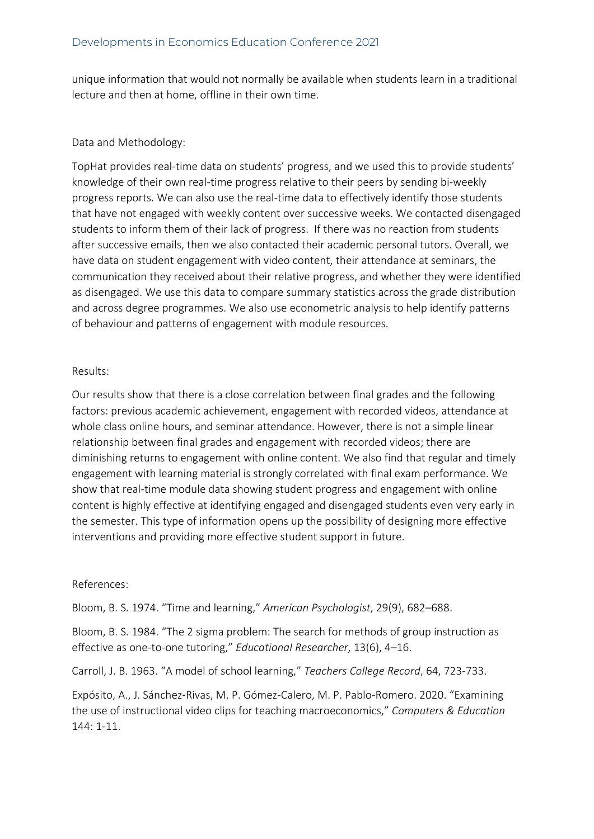unique information that would not normally be available when students learn in a traditional lecture and then at home, offline in their own time.

### Data and Methodology:

TopHat provides real-time data on students' progress, and we used this to provide students' knowledge of their own real-time progress relative to their peers by sending bi-weekly progress reports. We can also use the real-time data to effectively identify those students that have not engaged with weekly content over successive weeks. We contacted disengaged students to inform them of their lack of progress. If there was no reaction from students after successive emails, then we also contacted their academic personal tutors. Overall, we have data on student engagement with video content, their attendance at seminars, the communication they received about their relative progress, and whether they were identified as disengaged. We use this data to compare summary statistics across the grade distribution and across degree programmes. We also use econometric analysis to help identify patterns of behaviour and patterns of engagement with module resources.

#### Results:

Our results show that there is a close correlation between final grades and the following factors: previous academic achievement, engagement with recorded videos, attendance at whole class online hours, and seminar attendance. However, there is not a simple linear relationship between final grades and engagement with recorded videos; there are diminishing returns to engagement with online content. We also find that regular and timely engagement with learning material is strongly correlated with final exam performance. We show that real-time module data showing student progress and engagement with online content is highly effective at identifying engaged and disengaged students even very early in the semester. This type of information opens up the possibility of designing more effective interventions and providing more effective student support in future.

#### References:

Bloom, B. S. 1974. "Time and learning," *American Psychologist*, 29(9), 682–688.

Bloom, B. S. 1984. "The 2 sigma problem: The search for methods of group instruction as effective as one-to-one tutoring," *Educational Researcher*, 13(6), 4–16.

Carroll, J. B. 1963. "A model of school learning," *Teachers College Record*, 64, 723-733.

Expósito, A., J. Sánchez-Rivas, M. P. Gómez-Calero, M. P. Pablo-Romero. 2020. "Examining the use of instructional video clips for teaching macroeconomics," *Computers & Education*  144: 1-11.